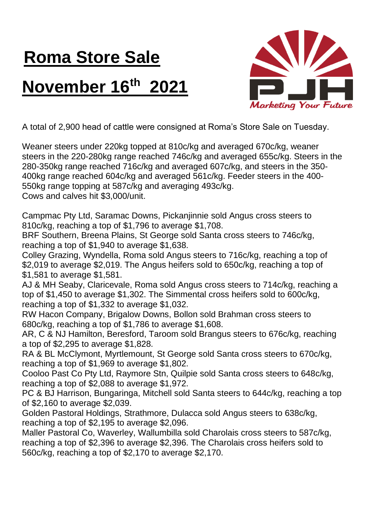## **Roma Store Sale November 16th 2021**



A total of 2,900 head of cattle were consigned at Roma's Store Sale on Tuesday.

Weaner steers under 220kg topped at 810c/kg and averaged 670c/kg, weaner steers in the 220-280kg range reached 746c/kg and averaged 655c/kg. Steers in the 280-350kg range reached 716c/kg and averaged 607c/kg, and steers in the 350- 400kg range reached 604c/kg and averaged 561c/kg. Feeder steers in the 400- 550kg range topping at 587c/kg and averaging 493c/kg. Cows and calves hit \$3,000/unit.

Campmac Pty Ltd, Saramac Downs, Pickanjinnie sold Angus cross steers to 810c/kg, reaching a top of \$1,796 to average \$1,708.

BRF Southern, Breena Plains, St George sold Santa cross steers to 746c/kg, reaching a top of \$1,940 to average \$1,638.

Colley Grazing, Wyndella, Roma sold Angus steers to 716c/kg, reaching a top of \$2,019 to average \$2,019. The Angus heifers sold to 650c/kg, reaching a top of \$1,581 to average \$1,581.

AJ & MH Seaby, Claricevale, Roma sold Angus cross steers to 714c/kg, reaching a top of \$1,450 to average \$1,302. The Simmental cross heifers sold to 600c/kg, reaching a top of \$1,332 to average \$1,032.

RW Hacon Company, Brigalow Downs, Bollon sold Brahman cross steers to 680c/kg, reaching a top of \$1,786 to average \$1,608.

AR, C & NJ Hamilton, Beresford, Taroom sold Brangus steers to 676c/kg, reaching a top of \$2,295 to average \$1,828.

RA & BL McClymont, Myrtlemount, St George sold Santa cross steers to 670c/kg, reaching a top of \$1,969 to average \$1,802.

Cooloo Past Co Pty Ltd, Raymore Stn, Quilpie sold Santa cross steers to 648c/kg, reaching a top of \$2,088 to average \$1,972.

PC & BJ Harrison, Bungaringa, Mitchell sold Santa steers to 644c/kg, reaching a top of \$2,160 to average \$2,039.

Golden Pastoral Holdings, Strathmore, Dulacca sold Angus steers to 638c/kg, reaching a top of \$2,195 to average \$2,096.

Maller Pastoral Co, Waverley, Wallumbilla sold Charolais cross steers to 587c/kg, reaching a top of \$2,396 to average \$2,396. The Charolais cross heifers sold to 560c/kg, reaching a top of \$2,170 to average \$2,170.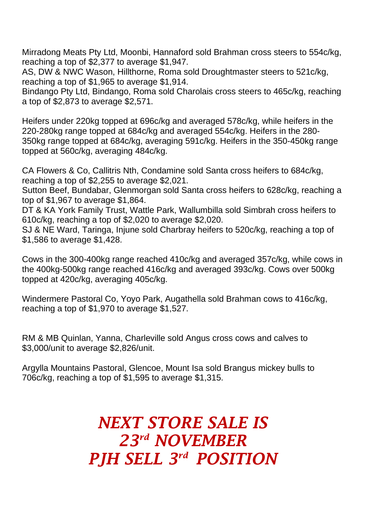Mirradong Meats Pty Ltd, Moonbi, Hannaford sold Brahman cross steers to 554c/kg, reaching a top of \$2,377 to average \$1,947.

AS, DW & NWC Wason, Hillthorne, Roma sold Droughtmaster steers to 521c/kg, reaching a top of \$1,965 to average \$1,914.

Bindango Pty Ltd, Bindango, Roma sold Charolais cross steers to 465c/kg, reaching a top of \$2,873 to average \$2,571.

Heifers under 220kg topped at 696c/kg and averaged 578c/kg, while heifers in the 220-280kg range topped at 684c/kg and averaged 554c/kg. Heifers in the 280- 350kg range topped at 684c/kg, averaging 591c/kg. Heifers in the 350-450kg range topped at 560c/kg, averaging 484c/kg.

CA Flowers & Co, Callitris Nth, Condamine sold Santa cross heifers to 684c/kg, reaching a top of \$2,255 to average \$2,021.

Sutton Beef, Bundabar, Glenmorgan sold Santa cross heifers to 628c/kg, reaching a top of \$1,967 to average \$1,864.

DT & KA York Family Trust, Wattle Park, Wallumbilla sold Simbrah cross heifers to 610c/kg, reaching a top of \$2,020 to average \$2,020.

SJ & NE Ward, Taringa, Injune sold Charbray heifers to 520c/kg, reaching a top of \$1,586 to average \$1,428.

Cows in the 300-400kg range reached 410c/kg and averaged 357c/kg, while cows in the 400kg-500kg range reached 416c/kg and averaged 393c/kg. Cows over 500kg topped at 420c/kg, averaging 405c/kg.

Windermere Pastoral Co, Yoyo Park, Augathella sold Brahman cows to 416c/kg, reaching a top of \$1,970 to average \$1,527.

RM & MB Quinlan, Yanna, Charleville sold Angus cross cows and calves to \$3,000/unit to average \$2,826/unit.

Argylla Mountains Pastoral, Glencoe, Mount Isa sold Brangus mickey bulls to 706c/kg, reaching a top of \$1,595 to average \$1,315.

## *NEXT STORE SALE IS 23rd NOVEMBER PJH SELL 3 rd POSITION*